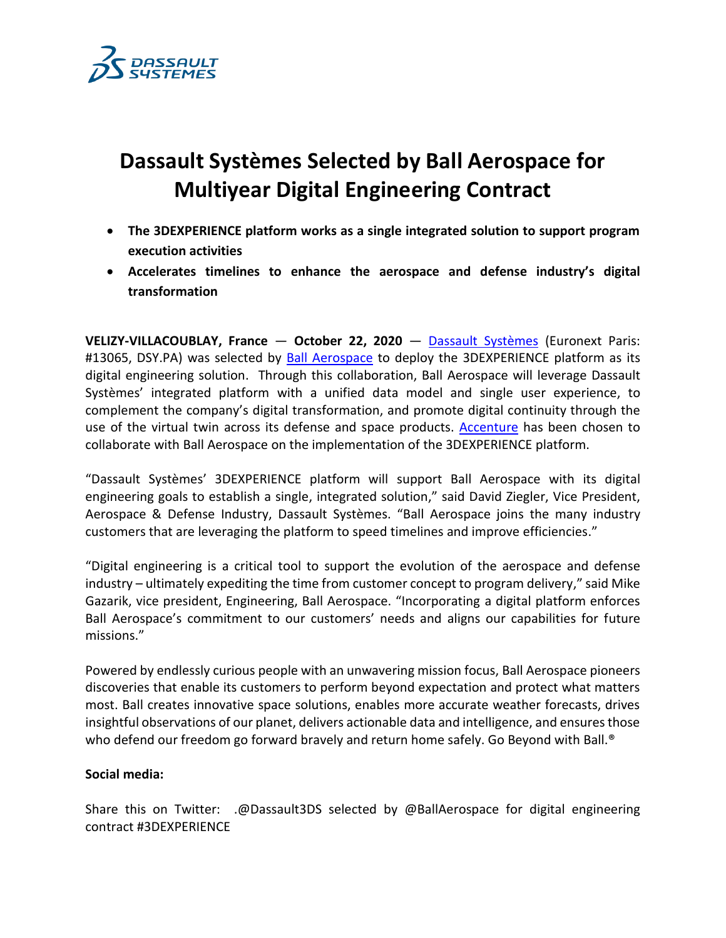

# **Dassault Systèmes Selected by Ball Aerospace for Multiyear Digital Engineering Contract**

- **The 3DEXPERIENCE platform works as a single integrated solution to support program execution activities**
- **Accelerates timelines to enhance the aerospace and defense industry's digital transformation**

**VELIZY-VILLACOUBLAY, France** — **October 22, 2020** — [Dassault Systèmes](http://www.3ds.com/) (Euronext Paris: #13065, DSY.PA) was selected by [Ball Aerospace](https://www.ball.com/aerospace) to deploy the 3DEXPERIENCE platform as its digital engineering solution. Through this collaboration, Ball Aerospace will leverage Dassault Systèmes' integrated platform with a unified data model and single user experience, to complement the company's digital transformation, and promote digital continuity through the use of the virtual twin across its defense and space products. [Accenture](https://www.accenture.com/us-en/industries/aerospace-defense-index) has been chosen to collaborate with Ball Aerospace on the implementation of the 3DEXPERIENCE platform.

"Dassault Systèmes' 3DEXPERIENCE platform will support Ball Aerospace with its digital engineering goals to establish a single, integrated solution," said David Ziegler, Vice President, Aerospace & Defense Industry, Dassault Systèmes. "Ball Aerospace joins the many industry customers that are leveraging the platform to speed timelines and improve efficiencies."

"Digital engineering is a critical tool to support the evolution of the aerospace and defense industry – ultimately expediting the time from customer concept to program delivery," said Mike Gazarik, vice president, Engineering, Ball Aerospace. "Incorporating a digital platform enforces Ball Aerospace's commitment to our customers' needs and aligns our capabilities for future missions."

Powered by endlessly curious people with an unwavering mission focus, Ball Aerospace pioneers discoveries that enable its customers to perform beyond expectation and protect what matters most. Ball creates innovative space solutions, enables more accurate weather forecasts, drives insightful observations of our planet, delivers actionable data and intelligence, and ensures those who defend our freedom go forward bravely and return home safely. Go Beyond with Ball.<sup>®</sup>

## **Social media:**

Share this on Twitter: .@Dassault3DS selected by @BallAerospace for digital engineering contract #3DEXPERIENCE